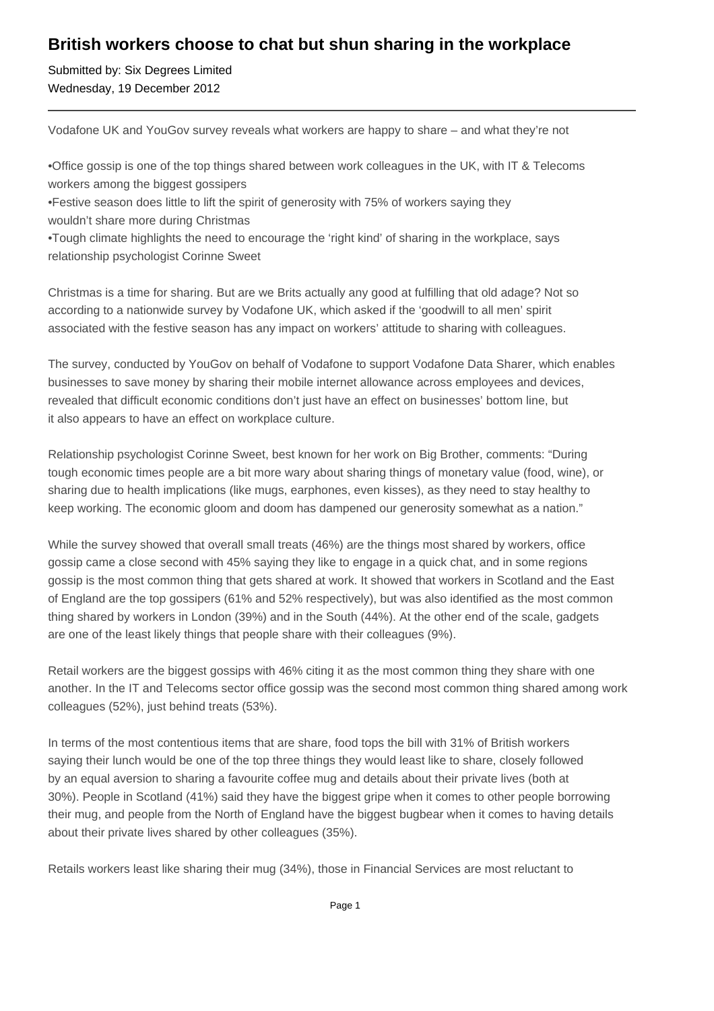## **British workers choose to chat but shun sharing in the workplace**

Submitted by: Six Degrees Limited Wednesday, 19 December 2012

Vodafone UK and YouGov survey reveals what workers are happy to share – and what they're not

• Office gossip is one of the top things shared between work colleagues in the UK, with IT & Telecoms workers among the biggest gossipers

• Festive season does little to lift the spirit of generosity with 75% of workers saying they wouldn't share more during Christmas

• Tough climate highlights the need to encourage the 'right kind' of sharing in the workplace, says relationship psychologist Corinne Sweet

Christmas is a time for sharing. But are we Brits actually any good at fulfilling that old adage? Not so according to a nationwide survey by Vodafone UK, which asked if the 'goodwill to all men' spirit associated with the festive season has any impact on workers' attitude to sharing with colleagues.

The survey, conducted by YouGov on behalf of Vodafone to support Vodafone Data Sharer, which enables businesses to save money by sharing their mobile internet allowance across employees and devices, revealed that difficult economic conditions don't just have an effect on businesses' bottom line, but it also appears to have an effect on workplace culture.

Relationship psychologist Corinne Sweet, best known for her work on Big Brother, comments: "During tough economic times people are a bit more wary about sharing things of monetary value (food, wine), or sharing due to health implications (like mugs, earphones, even kisses), as they need to stay healthy to keep working. The economic gloom and doom has dampened our generosity somewhat as a nation."

While the survey showed that overall small treats (46%) are the things most shared by workers, office gossip came a close second with 45% saying they like to engage in a quick chat, and in some regions gossip is the most common thing that gets shared at work. It showed that workers in Scotland and the East of England are the top gossipers (61% and 52% respectively), but was also identified as the most common thing shared by workers in London (39%) and in the South (44%). At the other end of the scale, gadgets are one of the least likely things that people share with their colleagues (9%).

Retail workers are the biggest gossips with 46% citing it as the most common thing they share with one another. In the IT and Telecoms sector office gossip was the second most common thing shared among work colleagues (52%), just behind treats (53%).

In terms of the most contentious items that are share, food tops the bill with 31% of British workers saying their lunch would be one of the top three things they would least like to share, closely followed by an equal aversion to sharing a favourite coffee mug and details about their private lives (both at 30%). People in Scotland (41%) said they have the biggest gripe when it comes to other people borrowing their mug, and people from the North of England have the biggest bugbear when it comes to having details about their private lives shared by other colleagues (35%).

Retails workers least like sharing their mug (34%), those in Financial Services are most reluctant to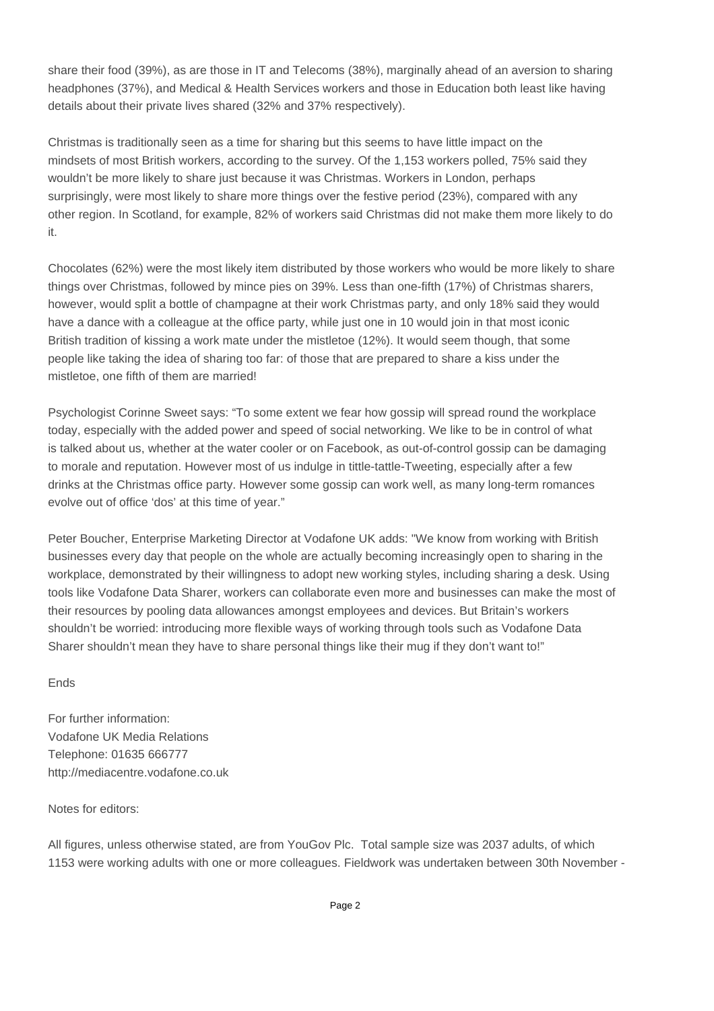share their food (39%), as are those in IT and Telecoms (38%), marginally ahead of an aversion to sharing headphones (37%), and Medical & Health Services workers and those in Education both least like having details about their private lives shared (32% and 37% respectively).

Christmas is traditionally seen as a time for sharing but this seems to have little impact on the mindsets of most British workers, according to the survey. Of the 1,153 workers polled, 75% said they wouldn't be more likely to share just because it was Christmas. Workers in London, perhaps surprisingly, were most likely to share more things over the festive period (23%), compared with any other region. In Scotland, for example, 82% of workers said Christmas did not make them more likely to do it.

Chocolates (62%) were the most likely item distributed by those workers who would be more likely to share things over Christmas, followed by mince pies on 39%. Less than one-fifth (17%) of Christmas sharers, however, would split a bottle of champagne at their work Christmas party, and only 18% said they would have a dance with a colleague at the office party, while just one in 10 would join in that most iconic British tradition of kissing a work mate under the mistletoe (12%). It would seem though, that some people like taking the idea of sharing too far: of those that are prepared to share a kiss under the mistletoe, one fifth of them are married!

Psychologist Corinne Sweet says: "To some extent we fear how gossip will spread round the workplace today, especially with the added power and speed of social networking. We like to be in control of what is talked about us, whether at the water cooler or on Facebook, as out-of-control gossip can be damaging to morale and reputation. However most of us indulge in tittle-tattle-Tweeting, especially after a few drinks at the Christmas office party. However some gossip can work well, as many long-term romances evolve out of office 'dos' at this time of year."

Peter Boucher, Enterprise Marketing Director at Vodafone UK adds: "We know from working with British businesses every day that people on the whole are actually becoming increasingly open to sharing in the workplace, demonstrated by their willingness to adopt new working styles, including sharing a desk. Using tools like Vodafone Data Sharer, workers can collaborate even more and businesses can make the most of their resources by pooling data allowances amongst employees and devices. But Britain's workers shouldn't be worried: introducing more flexible ways of working through tools such as Vodafone Data Sharer shouldn't mean they have to share personal things like their mug if they don't want to!"

## Ends

For further information: Vodafone UK Media Relations Telephone: 01635 666777 http://mediacentre.vodafone.co.uk

## Notes for editors:

All figures, unless otherwise stated, are from YouGov Plc. Total sample size was 2037 adults, of which 1153 were working adults with one or more colleagues. Fieldwork was undertaken between 30th November -